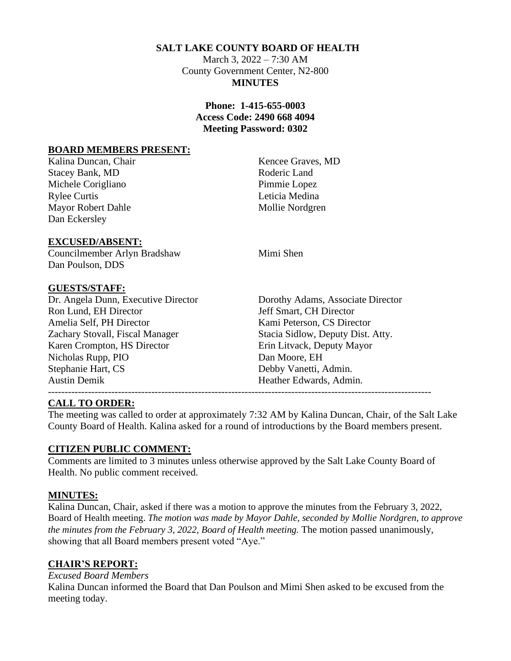### **SALT LAKE COUNTY BOARD OF HEALTH**

March 3, 2022 – 7:30 AM County Government Center, N2-800 **MINUTES**

### **Phone: 1-415-655-0003 Access Code: 2490 668 4094 Meeting Password: 0302**

#### **BOARD MEMBERS PRESENT:**

Kalina Duncan, Chair News, 2008, 2008. Kencee Graves, MD Stacey Bank, MD Roderic Land Michele Corigliano Pimmie Lopez Rylee Curtis Leticia Medina Mayor Robert Dahle Mollie Nordgren Dan Eckersley

#### **EXCUSED/ABSENT:**

Councilmember Arlyn Bradshaw Mimi Shen Dan Poulson, DDS

#### **GUESTS/STAFF:**

Dr. Angela Dunn, Executive Director Dorothy Adams, Associate Director Ron Lund, EH Director **Figure 3** Jeff Smart, CH Director Amelia Self, PH Director **Kami Peterson, CS Director** Zachary Stovall, Fiscal Manager Stacia Sidlow, Deputy Dist. Atty. Karen Crompton, HS Director Erin Litvack, Deputy Mayor Nicholas Rupp, PIO Dan Moore, EH Stephanie Hart, CS Debby Vanetti, Admin. Austin Demik **Heather Edwards, Admin.** 

-------------------------------------------------------------------------------------------------------------------

#### **CALL TO ORDER:**

The meeting was called to order at approximately 7:32 AM by Kalina Duncan, Chair, of the Salt Lake County Board of Health. Kalina asked for a round of introductions by the Board members present.

#### **CITIZEN PUBLIC COMMENT:**

Comments are limited to 3 minutes unless otherwise approved by the Salt Lake County Board of Health. No public comment received.

#### **MINUTES:**

Kalina Duncan, Chair, asked if there was a motion to approve the minutes from the February 3, 2022, Board of Health meeting. *The motion was made by Mayor Dahle, seconded by Mollie Nordgren, to approve the minutes from the February 3, 2022, Board of Health meeting.* The motion passed unanimously, showing that all Board members present voted "Aye."

#### **CHAIR'S REPORT:**

*Excused Board Members*

Kalina Duncan informed the Board that Dan Poulson and Mimi Shen asked to be excused from the meeting today.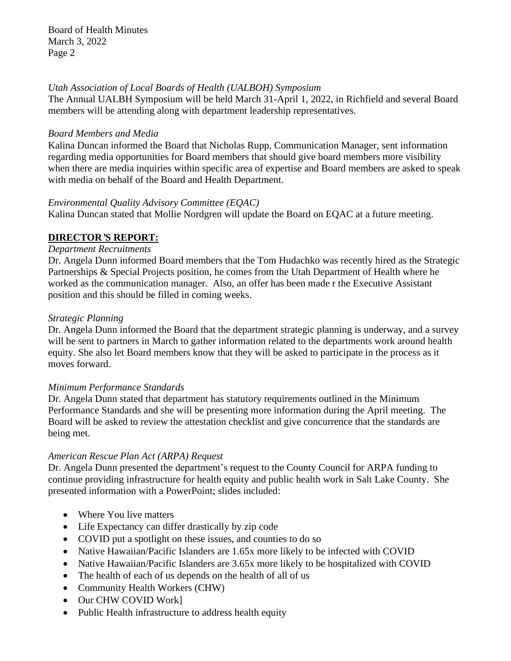Board of Health Minutes March 3, 2022 Page 2

#### *Utah Association of Local Boards of Health (UALBOH) Symposium*

The Annual UALBH Symposium will be held March 31-April 1, 2022, in Richfield and several Board members will be attending along with department leadership representatives.

#### *Board Members and Media*

Kalina Duncan informed the Board that Nicholas Rupp, Communication Manager, sent information regarding media opportunities for Board members that should give board members more visibility when there are media inquiries within specific area of expertise and Board members are asked to speak with media on behalf of the Board and Health Department.

### *Environmental Quality Advisory Committee (EQAC)*

Kalina Duncan stated that Mollie Nordgren will update the Board on EQAC at a future meeting.

### **DIRECTOR***'***S REPORT:**

#### *Department Recruitments*

Dr. Angela Dunn informed Board members that the Tom Hudachko was recently hired as the Strategic Partnerships & Special Projects position, he comes from the Utah Department of Health where he worked as the communication manager. Also, an offer has been made r the Executive Assistant position and this should be filled in coming weeks.

#### *Strategic Planning*

Dr. Angela Dunn informed the Board that the department strategic planning is underway, and a survey will be sent to partners in March to gather information related to the departments work around health equity. She also let Board members know that they will be asked to participate in the process as it moves forward.

### *Minimum Performance Standards*

Dr. Angela Dunn stated that department has statutory requirements outlined in the Minimum Performance Standards and she will be presenting more information during the April meeting. The Board will be asked to review the attestation checklist and give concurrence that the standards are being met.

### *American Rescue Plan Act (ARPA) Request*

Dr. Angela Dunn presented the department's request to the County Council for ARPA funding to continue providing infrastructure for health equity and public health work in Salt Lake County. She presented information with a PowerPoint; slides included:

- Where You live matters
- Life Expectancy can differ drastically by zip code
- COVID put a spotlight on these issues, and counties to do so
- Native Hawaiian/Pacific Islanders are 1.65x more likely to be infected with COVID
- Native Hawaiian/Pacific Islanders are 3.65x more likely to be hospitalized with COVID
- The health of each of us depends on the health of all of us
- Community Health Workers (CHW)
- Our CHW COVID Work]
- Public Health infrastructure to address health equity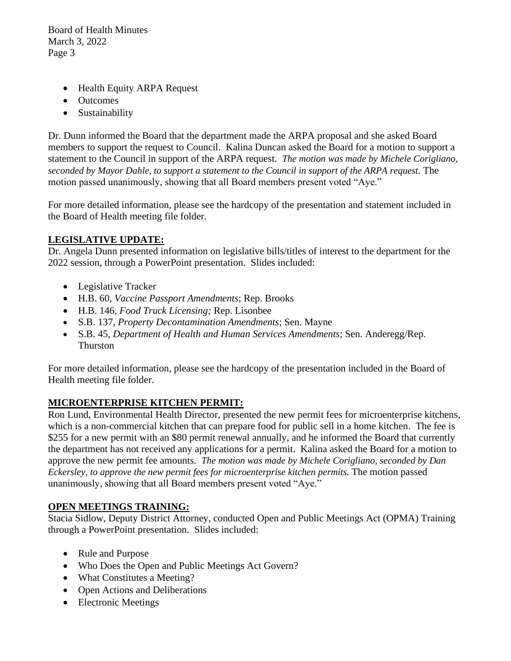Board of Health Minutes March 3, 2022 Page 3

- Health Equity ARPA Request
- Outcomes
- Sustainability

Dr. Dunn informed the Board that the department made the ARPA proposal and she asked Board members to support the request to Council. Kalina Duncan asked the Board for a motion to support a statement to the Council in support of the ARPA request. *The motion was made by Michele Corigliano, seconded by Mayor Dahle, to support a statement to the Council in support of the ARPA request.* The motion passed unanimously, showing that all Board members present voted "Aye."

For more detailed information, please see the hardcopy of the presentation and statement included in the Board of Health meeting file folder.

# **LEGISLATIVE UPDATE:**

Dr. Angela Dunn presented information on legislative bills/titles of interest to the department for the 2022 session, through a PowerPoint presentation. Slides included:

- Legislative Tracker
- H.B. 60, *Vaccine Passport Amendments*; Rep. Brooks
- H.B. 146, *Food Truck Licensing;* Rep. Lisonbee
- S.B. 137, *Property Decontamination Amendments*; Sen. Mayne
- S.B. 45, *Department of Health and Human Services Amendments*; Sen. Anderegg/Rep. Thurston

For more detailed information, please see the hardcopy of the presentation included in the Board of Health meeting file folder.

# **MICROENTERPRISE KITCHEN PERMIT:**

Ron Lund, Environmental Health Director, presented the new permit fees for microenterprise kitchens, which is a non-commercial kitchen that can prepare food for public sell in a home kitchen. The fee is \$255 for a new permit with an \$80 permit renewal annually, and he informed the Board that currently the department has not received any applications for a permit. Kalina asked the Board for a motion to approve the new permit fee amounts. *The motion was made by Michele Corigliano, seconded by Dan Eckersley, to approve the new permit fees for microenterprise kitchen permits.* The motion passed unanimously, showing that all Board members present voted "Aye."

# **OPEN MEETINGS TRAINING:**

Stacia Sidlow, Deputy District Attorney, conducted Open and Public Meetings Act (OPMA) Training through a PowerPoint presentation. Slides included:

- Rule and Purpose
- Who Does the Open and Public Meetings Act Govern?
- What Constitutes a Meeting?
- Open Actions and Deliberations
- Electronic Meetings